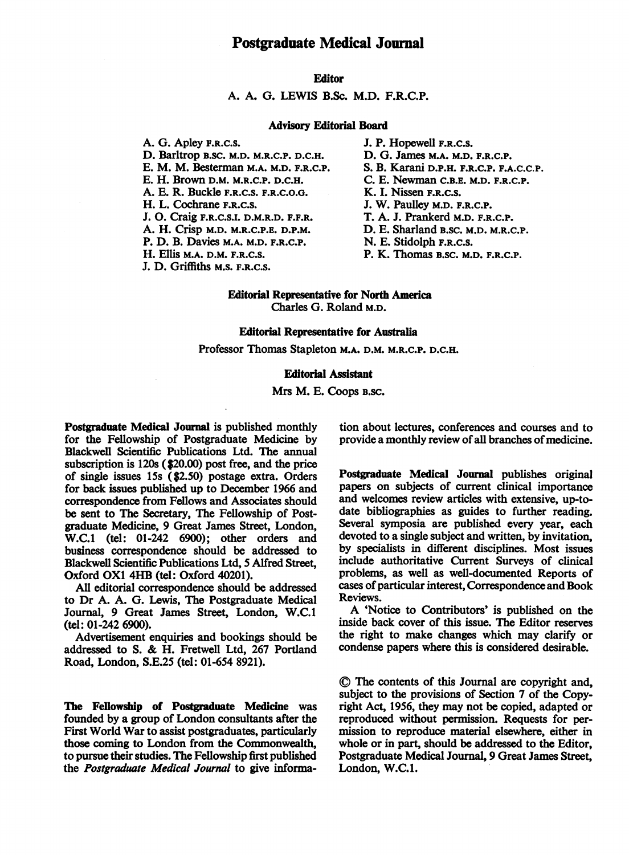## Editor

A. A. G. LEWIS B.Sc. M.D. F.R.C.P.

#### Advisory Editorial Board

A. G. Apley F.R.C.S. D. Barltrop B.SC. M.D. M.R.C.P. D.C.H. E. M. M. Besterman M.A. M.D. F.R.C.P. E. H. Brown D.M. M.R.C.P. D.C.H. A. E. R. Buckle F.R.C.S. F.R.C.O.G. H. L. Cochrane F.R.C.S. J. 0. Craig F.R.C.S.I. D.M.R.D. F.F.R. A. H. Crisp M.D. M.R.C.P.E. D.P.M. P. D. B. Davies M.A. M.D. F.R.C.P. H. Ellis M.A. D.M. F.R.C.S. J. D. Griffiths M.S. F.R.C.S.

J. P. Hopewell F.R.C.S. D. G. James M.A. M.D. F.R.C.P. S. B. Karani D.P.H. F.R.C.P. F.A.C.C.P. C. E. Newman C.B.E. M.D. F.R.C.P. K. I. Nissen F.R.C.S. J. W. Paulley M.D. F.R.C.P. T. A. J. Prankerd M.D. F.R.C.P. D. E. Sharland B.SC. M.D. M.R.C.P. N. E. Stidolph F.R.C.S. P. K. Thomas B.SC. M.D. F.R.C.P.

### Editorial Representative for North America Charles G. Roland M.D.

### Editorial Representative for Australia

Professor Thomas Stapleton M.A. D.M. M.R.C.P. D.C.H.

### Editorial Assistant

Mrs M. E. Coops B.SC.

Postgraduate Medical Journal is published monthly for the Fellowship of Postgraduate Medicine by Blackwell Scientific Publications Ltd. The annual subscription is 120s (\$20.00) post free, and the price of single issues 15s (\$2.50) postage extra. Orders for back issues published up to December 1966 and correspondence from Fellows and Associates should be sent to The Secretary, The Fellowship of Postgraduate Medicine, 9 Great James Street, London, W.C.1 (tel: 01-242 6900); other orders and business correspondence should be addressed to Blackwell Scientific Publications Ltd, 5 Alfred Street, Oxford OX1 4HB (tel: Oxford 40201).

All editorial correspondence should be addressed to Dr A. A. G. Lewis, The Postgraduate Medical Journal, 9 Great James Street, London, W.C.1 (tel: 01-242 6900).

Advertisement enquiries and bookings should be addressed to S. & H. Fretwell Ltd, <sup>267</sup> Portland Road, London, S.E.25 (tel: 01-654 8921).

The Fellowship of Postgraduate Medicine was founded by a group of London consultants after the First World War to assist postgraduates, particularly those coming to London from the Commonwealth, to pursue their studies. The Fellowship first published the Postgraduate Medical Journal to give information about lectures, conferences and courses and to provide a monthly review of all branches of medicine.

Postgraduate Medical Journal publishes original papers on subjects of current clinical importance and welcomes review articles with extensive, up-todate bibliographies as guides to further reading. Several symposia are published every year, each devoted to a single subject and written, by invitation, by specialists in different disciplines. Most issues include authoritative Current Surveys of clinical problems, as well as well-documented Reports of cases of particular interest, Correspondence and Book Reviews.

A 'Notice to Contributors' is published on the inside back cover of this issue. The Editor reserves the right to make changes which may clarify or condense papers where this is considered desirable.

© The contents of this Journal are copyright and, subject to the provisions of Section 7 of the Copyright Act, 1956, they may not be copied, adapted or reproduced without permission. Requests for permission to reproduce material elsewhere, either in whole or in part, should be addressed to the Editor, Postgraduate Medical Journal, 9 Great James Street, London, W.C.1.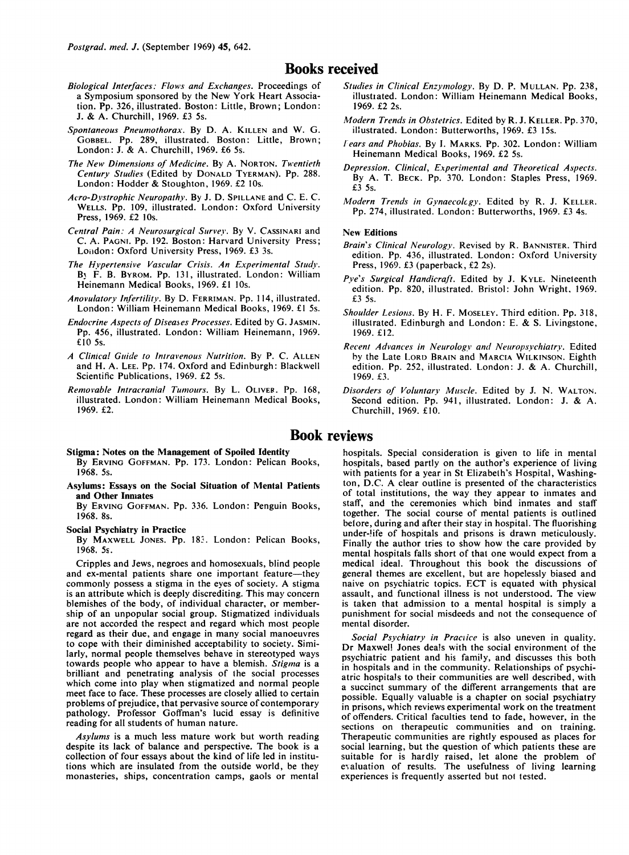### Books received

- Biological Interfaces: Flows and Exchanges. Proceedings of <sup>a</sup> Symposium sponsored by the New York Heart Association. Pp. 326, illustrated. Boston: Little, Brown; London: J. & A. Churchill, 1969. £3 5s.
- Spontaneous Pneumothorax. By D. A. KILLEN and W. G. GOBBEL. Pp. 289, illustrated. Boston: Little, Brown; London: J. & A. Churchill, 1969. £6 5s.
- The New Dimensions of Medicine. By A. NORTON. Twentieth Century Studies (Edited by DONALD TYERMAN). Pp. 288. London: Hodder & Stoughton, 1969. £2 10s.
- Acro-Dyvstrophic Neuropathy. By J. D. SPILLANE and C. E. C. WELLS. Pp. 109, illustrated. ILondon: Oxford University Press, 1969. £2 lOs.
- Central Pain: A Neurosurgical Survey. By V. CASSINARI and C. A. PAGNI. Pp. 192. Boston: Harvard University Press; London: Oxford University Press, 1969. £3 3s.
- The Hypertensive Vascular Crisis. An Experimental Study. B<sub>1</sub> F. B. BYROM. Pp. 131, illustrated. London: William Heinemann Medical Books, 1969. £1 10s.
- Anovulatory Infertility. By D. FERRIMAN. Pp. 114, illustrated. London: William Heinemann Medical Books, 1969. £1 5s.
- Endocrine Aspects of Diseases Processes. Edited by G. JASMIN. Pp. 456, illustrated. London: William Heinemann, 1969. £10 5s.
- A Clinical Guide to Intravenous Nutrition. By P. C. ALLEN and H. A. LEE. Pp. 174. Oxford and Edinburgh: Blackwell Scientific Publications, 1969. £2 5s.
- Removable Intracranial Tumours. By L. OLIVER. Pp. 168, illustrated. London: William Heinemann Medical Books, 1969. £2.
- Stigma: Notes on the Management of Spoiled Identity

By ERVING GOFFMAN. Pp. 173. London: Pelican Books, 1968. 5s.

Asylums: Essays on the Social Situation of Mental Patients and Other Inmates

By ERVING GOFFMAN. Pp. 336. London: Penguin Books, 1968. 8s.

#### Social Psychiatry in Practice

By MAXWELL JONES. Pp. 183. London: Pelican Books, 1968. 5s.

Cripples and Jews, negroes and homosexuals, blind people and ex-mental patients share one important feature-they commonly possess <sup>a</sup> stigma in the eyes of society. A stigma is an attribute which is deeply discrediting. This may concern blemishes of the body, of individual character, or membership of an unpopular social group. Stigmatized individuals are not accorded the respect and regard which most people regard as their due, and engage in many social manoeuvres to cope with their diminished acceptability to society. Similarly, normal people themselves behave in stereotyped ways towards people who appear to have a blemish. Stigma is a brilliant and penetrating analysis of the social processes which come into play when stigmatized and normal people meet face to face. These processes are closely allied to certain problems of prejudice, that pervasive source of contemporary pathology. Professor Goffman's lucid essay is definitive reading for all students of human nature.

Asylums is a much less mature work but worth reading despite its lack of balance and perspective. The book is a collection of four essays about the kind of life led in institutions which are insulated from the outside world, be they monasteries, ships, concentration camps, gaols or mental

- Studies in Clinical Enzymology. By D. P. MULLAN. Pp. 238, illustiated. London: William Heinemann Medical Books, 1969. £2 2s.
- Modern Trends in Obstetrics. Edited by R. J. KELLER. Pp. 370, illustrated. London: Butterworths, 1969. £3 15s.
- Iears and Phobias. By 1. MARKS. Pp. 302. London: William Heinemann Medical Books, 1969. £2 5s.
- Depression. Clinical, Experimental and Theoretical Aspects. By A. T. BECK. Pp. 370. London: Staples Press, 1969. £3 5s.
- Modern Trends in Gynaecolcgy. Edited by R. J. KELLER. Pp. 274, illustrated. London: Butterworths, 1969. £3 4s.

#### New Editions

- Brain's Clinical Neurology. Revised by R. BANNISTER. Third edition. Pp. 436, illustrated. London: Oxford University Press, 1969. £3 (paperback, £2 2s).
- Pye's Surgical Handicraft. Edited by J. KYLE. Nineteenth edition. Pp. 820, illustrated. Bristol: John Wright. 1969. £3 5s.
- Shoulder Lesions. By H. F. MOSELEY. Third edition. Pp. 318, illustrated. Edinburgh and London: E. & S. Livingstone, 1969. £12.
- Recent Advances in Neurology and Neuropsychiatry. Edited by the Late LORD BRAIN and MARCIA WILKINSON. Eighth edition. Pp. 252, illustrated. London: J. & A. Churchill, 1969. £3.
- Disorders of Voluntary Muscle. Edited by J. N. WALTON. Second edition. Pp. 941, illustrated. London: J. & A. Churchill, 1969. £10.

# Book reviews

hospitals. Special consideration is given to life in mental hospitals, based partly on the author's experience of living with patients for a year in St Elizabeth's Hospital, Washington, D.C. A clear outline is presented of the characteristics of total institutions, the way they appear to inmates and staff, and the ceremonies which bind inmates and staff together. The social course of mental patients is outlined before, during and after their stay in hospital. The fluorishing under-!ife of hospitals and prisons is drawn meticulously. Finally the author tries to show how the care provided by mental hospitals falls short of that one would expect from a medical ideal. Throughout this book the discussions of general themes are excellent, but are hopelessly biased and naive on psychiatric topics. ECT is equated with physical assault, and functional illness is not understood. The view is taken that admission to a mental hospital is simply a punishment for social misdeeds and not the consequence of mental disorder.

Social Psychiatry in Praciice is also uneven in quality. Dr Maxwel! Jones deals with the social environment of the psychiatric patient and his family, and discusses this both in hospitals and in the community. Relationships of psychiatric hospitals to their communities are well described, with a succinct summary of the different arrangements that are possible. Equally valuable is a chapter on social psychiatry in prisons, which reviews experimental work on the treatment of offenders. Critical faculties tend to fade, however, in the sections on therapeutic communities and on training. Therapeutic communities are rightly espoused as places for social learning, but the question of which patients these are suitable for is hardly raised, let alone the problem of evaluation of results. The usefulness of living learning experiences is frequently asserted but nol tested.